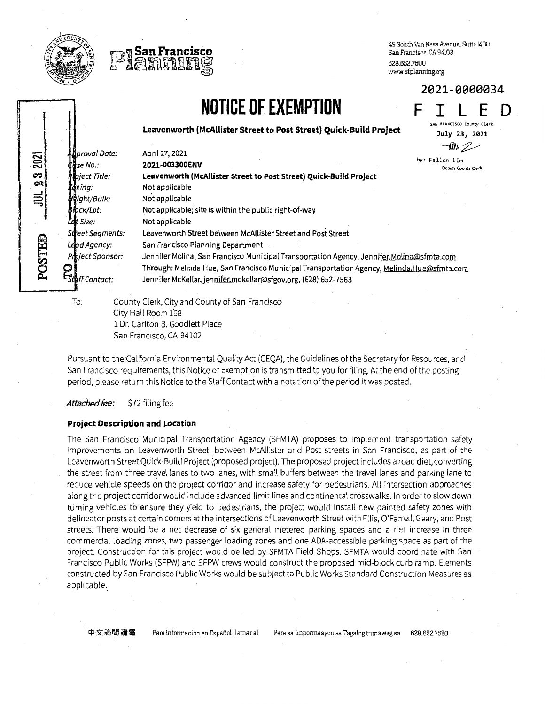

2021<br>2

ଚ୍ଚା $\mid$ ್ಲ<br>ಸ  $\equiv$ 

POSTED



49 South Uan Ness Avenue, Suite 1400 San Francisco. CA 94103 628.6S2.7600 www.sfplanning.org

## NOTICE OF EXEMPTION

F I L E D FRANCISCO County Clerk July 23, 2021

Leavenworth (McAllister Street to Post Street) Quick-Build Project

**u**proval Date: April 27, 2021  $\frac{1}{2}$ se No.: 2021-003300ENV ject Title: Leavenworth (McAllister Street to Post Street) Quick Bui{d Project **d** *ing*: Not applicable *ight/Bulk:* Not applicable **Apck/Lot:** Not applicable; site is within the public right-of-way<br>Let size: Not applicable Not applicable Street Segments: Leavenworth Street between McAllister Street and Post Street **-RIA** by: Fallon Lim Deputy County Cler Lead Agency: San Francisco Planning Department Project Sponsor: Jennifer Molina, San Francisco Municipal Transportation Agency, Jennifer, Molina@sfmta.com Through: Melinda Hue, San Francisco Municipal Transportation Agency, Melinda.Hue@sfmta.com **E<sub>Sterf</sub>** Fontact: Jennifer McKellar, jennifer.mckellar@sfgov.org, (628) 652-7563 To: County Clerk, City and County of San Francisco

City Nall Room 168 1 Dr. Carlton B. Goodlett Place San Francisco, CA 94102

Pursuant to the California Environmental Quality Act (CEQA), the Guidelines of the Secretary for Resources, and San Francisco requirements, this Notice of Exemption is transmitted to you for filing. At the end of the posting period, please return this Notice to the Staff Contact with a notation of the period it was posted.

Attached fee: \$72 filing fee

## Project Description and Location

The San Francisco Municipal Transportation Agency (SFMTA) proposes to implement transportation safety improvements on Leavenworth Street, between McAllister and Post streets in San Francisco, as part of the Leavenworth Street Quick-Build Project (proposed project). The proposed project includes a road diet, converting the street from three travel lanes to two lanes, with small buffers between the travel lanes and parking lane to reduce vehicle speeds on the project corridor and increase safety for pedestrians. Aff intersection approaches along the project corridor would include advanced limit lines and continentalcrosswalks. In orderto slow down turning vehicles to ensure they yield to pedestrians, the project would install new painted safety zones with delineator posts at certain comers at the intersections of Leavenworth Street with Ellis, O'Farrell, Geary, and Post streets. There would be a net decrease of six general metered parking spaces and a net increase in three commercial loading zones, two passenger loading zones and one ADA-accessible parking space as part of the project. Construction for this project would be led by SFMTA Field Shops. SFMTA would coordinate with San Francisco Public Works (SFPW) and SFPW crews would construct the proposed mid-block curb ramp, Elements constructed by San Francisco Public Works would be subject to Public Works Standard Construction Measures as applicable.

2021-0000034